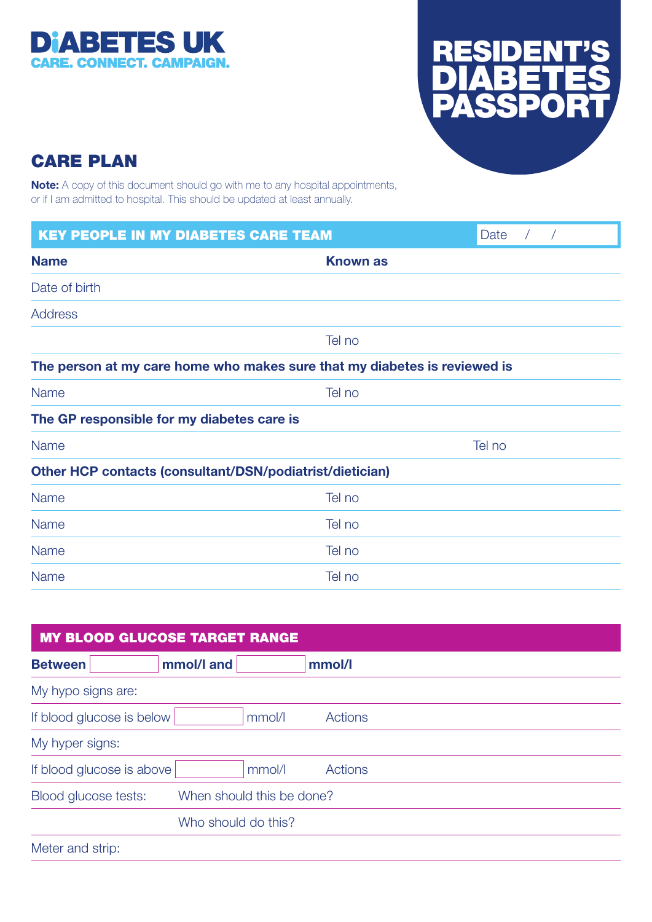



## CARE PLAN

Note: A copy of this document should go with me to any hospital appointments, or if I am admitted to hospital. This should be updated at least annually.

| <b>KEY PEOPLE IN MY DIABETES CARE TEAM</b>                                |                 | Date<br>$\sqrt{2}$ |  |
|---------------------------------------------------------------------------|-----------------|--------------------|--|
| <b>Name</b>                                                               | <b>Known as</b> |                    |  |
| Date of birth                                                             |                 |                    |  |
| <b>Address</b>                                                            |                 |                    |  |
|                                                                           | Tel no          |                    |  |
| The person at my care home who makes sure that my diabetes is reviewed is |                 |                    |  |
| <b>Name</b>                                                               | Tel no          |                    |  |
| The GP responsible for my diabetes care is                                |                 |                    |  |
| <b>Name</b>                                                               | Tel no          |                    |  |
| Other HCP contacts (consultant/DSN/podiatrist/dietician)                  |                 |                    |  |
| <b>Name</b>                                                               | Tel no          |                    |  |
| <b>Name</b>                                                               | Tel no          |                    |  |
| <b>Name</b>                                                               | Tel no          |                    |  |
| Name                                                                      | Tel no          |                    |  |

| <b>MY BLOOD GLUCOSE TARGET RANGE</b> |                           |  |
|--------------------------------------|---------------------------|--|
| <b>Between</b>                       | mmol/l and<br>mmol/l      |  |
| My hypo signs are:                   |                           |  |
| If blood glucose is below            | mmol/l<br>Actions         |  |
| My hyper signs:                      |                           |  |
| If blood glucose is above            | mmol/l<br>Actions         |  |
| Blood glucose tests:                 | When should this be done? |  |
|                                      | Who should do this?       |  |
| Meter and strip:                     |                           |  |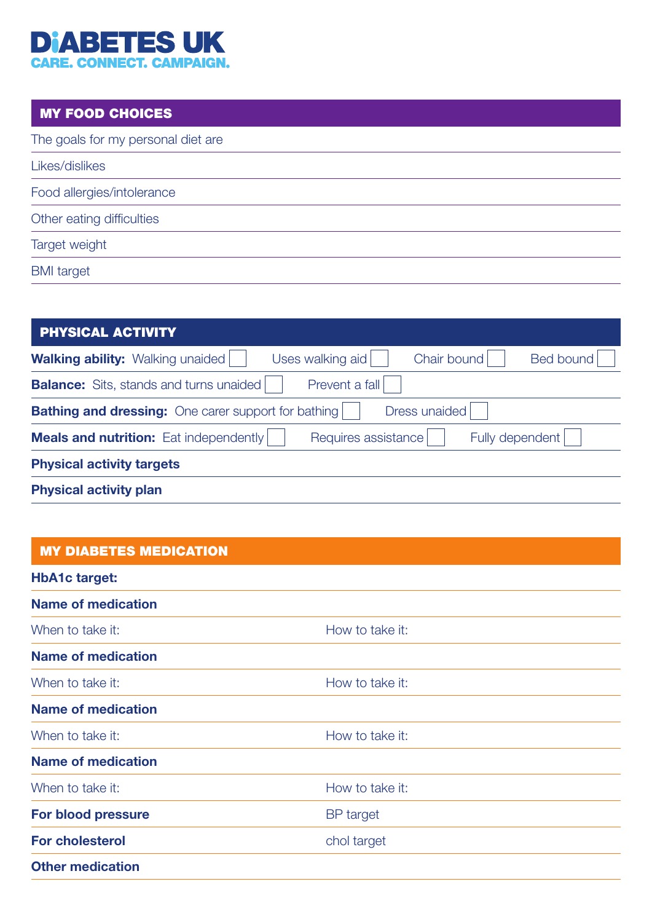# **DIABETES UK**<br>CARE. CONNECT. CAMPAIGN.

#### MY FOOD CHOICES

| The goals for my personal diet are |  |
|------------------------------------|--|
| Likes/dislikes                     |  |
| Food allergies/intolerance         |  |
| Other eating difficulties          |  |
| Target weight                      |  |
| <b>BMI</b> target                  |  |
|                                    |  |

| <b>PHYSICAL ACTIVITY</b>                                                                       |  |  |  |
|------------------------------------------------------------------------------------------------|--|--|--|
| Chair bound<br><b>Bed bound</b><br><b>Walking ability:</b> Walking unaided<br>Uses walking aid |  |  |  |
| Prevent a fall<br><b>Balance:</b> Sits, stands and turns unaided                               |  |  |  |
| Dress unaided<br><b>Bathing and dressing:</b> One carer support for bathing                    |  |  |  |
| Requires assistance<br><b>Meals and nutrition:</b> Eat independently<br>Fully dependent        |  |  |  |
| <b>Physical activity targets</b>                                                               |  |  |  |
| <b>Physical activity plan</b>                                                                  |  |  |  |

#### MY DIABETES MEDICATION

| <b>HbA1c target:</b>      |                  |
|---------------------------|------------------|
| <b>Name of medication</b> |                  |
| When to take it:          | How to take it:  |
| <b>Name of medication</b> |                  |
| When to take it:          | How to take it:  |
| <b>Name of medication</b> |                  |
| When to take it:          | How to take it:  |
| <b>Name of medication</b> |                  |
| When to take it:          | How to take it:  |
| <b>For blood pressure</b> | <b>BP</b> target |
| <b>For cholesterol</b>    | chol target      |
| <b>Other medication</b>   |                  |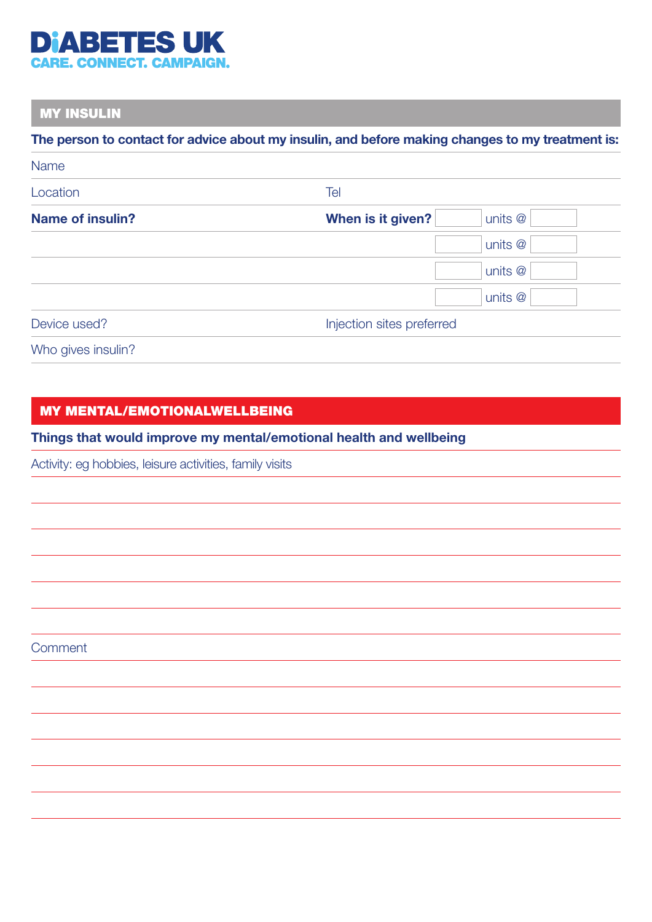

### MY INSULIN

#### The person to contact for advice about my insulin, and before making changes to my treatment is:

| <b>Name</b>             |                              |  |
|-------------------------|------------------------------|--|
| Location                | Tel                          |  |
| <b>Name of insulin?</b> | When is it given?<br>units @ |  |
|                         | units @                      |  |
|                         | units @                      |  |
|                         | units @                      |  |
| Device used?            | Injection sites preferred    |  |
|                         |                              |  |

Who gives insulin?

#### MY MENTAL/EMOTIONALWELLBEING

#### Things that would improve my mental/emotional health and wellbeing

Activity: eg hobbies, leisure activities, family visits

**Comment**